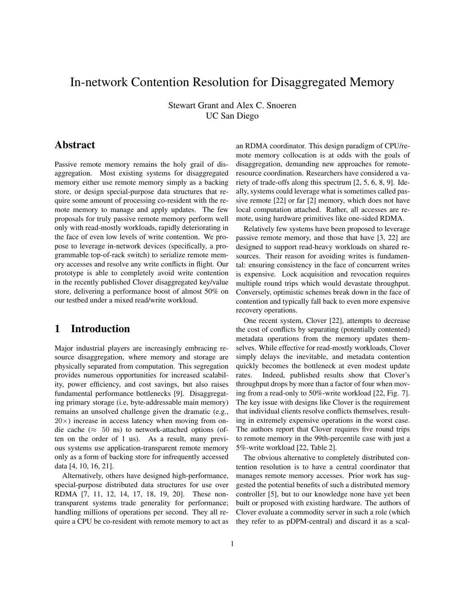# In-network Contention Resolution for Disaggregated Memory

Stewart Grant and Alex C. Snoeren UC San Diego

## Abstract

Passive remote memory remains the holy grail of disaggregation. Most existing systems for disaggregated memory either use remote memory simply as a backing store, or design special-purpose data structures that require some amount of processing co-resident with the remote memory to manage and apply updates. The few proposals for truly passive remote memory perform well only with read-mostly workloads, rapidly deteriorating in the face of even low levels of write contention. We propose to leverage in-network devices (specifically, a programmable top-of-rack switch) to serialize remote memory accesses and resolve any write conflicts in flight. Our prototype is able to completely avoid write contention in the recently published Clover disaggregated key/value store, delivering a performance boost of almost 50% on our testbed under a mixed read/write workload.

## 1 Introduction

Major industrial players are increasingly embracing resource disaggregation, where memory and storage are physically separated from computation. This segregation provides numerous opportunities for increased scalability, power efficiency, and cost savings, but also raises fundamental performance bottlenecks [9]. Disaggregating primary storage (i.e, byte-addressable main memory) remains an unsolved challenge given the dramatic (e.g.,  $20\times$ ) increase in access latency when moving from ondie cache ( $\approx$  50 ns) to network-attached options (often on the order of 1 us). As a result, many previous systems use application-transparent remote memory only as a form of backing store for infrequently accessed data [4, 10, 16, 21].

Alternatively, others have designed high-performance, special-purpose distributed data structures for use over RDMA [7, 11, 12, 14, 17, 18, 19, 20]. These nontransparent systems trade generality for performance; handling millions of operations per second. They all require a CPU be co-resident with remote memory to act as an RDMA coordinator. This design paradigm of CPU/remote memory collocation is at odds with the goals of disaggregation, demanding new approaches for remoteresource coordination. Researchers have considered a variety of trade-offs along this spectrum [2, 5, 6, 8, 9]. Ideally, systems could leverage what is sometimes called passive remote [22] or far [2] memory, which does not have local computation attached. Rather, all accesses are remote, using hardware primitives like one-sided RDMA.

Relatively few systems have been proposed to leverage passive remote memory, and those that have [3, 22] are designed to support read-heavy workloads on shared resources. Their reason for avoiding writes is fundamental: ensuring consistency in the face of concurrent writes is expensive. Lock acquisition and revocation requires multiple round trips which would devastate throughput. Conversely, optimistic schemes break down in the face of contention and typically fall back to even more expensive recovery operations.

One recent system, Clover [22], attempts to decrease the cost of conflicts by separating (potentially contented) metadata operations from the memory updates themselves. While effective for read-mostly workloads, Clover simply delays the inevitable, and metadata contention quickly becomes the bottleneck at even modest update rates. Indeed, published results show that Clover's throughput drops by more than a factor of four when moving from a read-only to 50%-write workload [22, Fig. 7]. The key issue with designs like Clover is the requirement that individual clients resolve conflicts themselves, resulting in extremely expensive operations in the worst case. The authors report that Clover requires five round trips to remote memory in the 99th-percentile case with just a 5%-write workload [22, Table 2].

The obvious alternative to completely distributed contention resolution is to have a central coordinator that manages remote memory accesses. Prior work has suggested the potential benefits of such a distributed memory controller [5], but to our knowledge none have yet been built or proposed with existing hardware. The authors of Clover evaluate a commodity server in such a role (which they refer to as pDPM-central) and discard it as a scal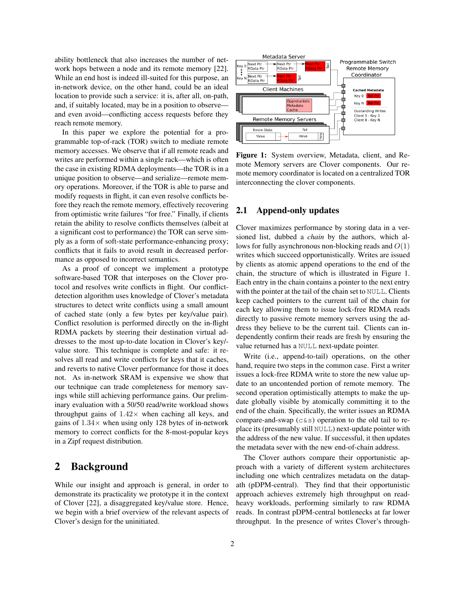ability bottleneck that also increases the number of network hops between a node and its remote memory [22]. While an end host is indeed ill-suited for this purpose, an in-network device, on the other hand, could be an ideal location to provide such a service: it is, after all, on-path, and, if suitably located, may be in a position to observe and even avoid—conflicting access requests before they reach remote memory.

In this paper we explore the potential for a programmable top-of-rack (TOR) switch to mediate remote memory accesses. We observe that if all remote reads and writes are performed within a single rack—which is often the case in existing RDMA deployments—the TOR is in a unique position to observe—and serialize—remote memory operations. Moreover, if the TOR is able to parse and modify requests in flight, it can even resolve conflicts before they reach the remote memory, effectively recovering from optimistic write failures "for free." Finally, if clients retain the ability to resolve conflicts themselves (albeit at a significant cost to performance) the TOR can serve simply as a form of soft-state performance-enhancing proxy; conflicts that it fails to avoid result in decreased performance as opposed to incorrect semantics.

As a proof of concept we implement a prototype software-based TOR that interposes on the Clover protocol and resolves write conflicts in flight. Our conflictdetection algorithm uses knowledge of Clover's metadata structures to detect write conflicts using a small amount of cached state (only a few bytes per key/value pair). Conflict resolution is performed directly on the in-flight RDMA packets by steering their destination virtual addresses to the most up-to-date location in Clover's key/ value store. This technique is complete and safe: it resolves all read and write conflicts for keys that it caches, and reverts to native Clover performance for those it does not. As in-network SRAM is expensive we show that our technique can trade completeness for memory savings while still achieving performance gains. Our preliminary evaluation with a 50/50 read/write workload shows throughput gains of  $1.42\times$  when caching all keys, and gains of  $1.34\times$  when using only 128 bytes of in-network memory to correct conflicts for the 8-most-popular keys in a Zipf request distribution.

## 2 Background

While our insight and approach is general, in order to demonstrate its practicality we prototype it in the context of Clover [22], a disaggregated key/value store. Hence, we begin with a brief overview of the relevant aspects of Clover's design for the uninitiated.



Figure 1: System overview, Metadata, client, and Remote Memory servers are Clover components. Our remote memory coordinator is located on a centralized TOR interconnecting the clover components.

#### 2.1 Append-only updates

Clover maximizes performance by storing data in a versioned list, dubbed a *chain* by the authors, which allows for fully asynchronous non-blocking reads and  $O(1)$ writes which succeed opportunistically. Writes are issued by clients as atomic append operations to the end of the chain, the structure of which is illustrated in Figure 1. Each entry in the chain contains a pointer to the next entry with the pointer at the tail of the chain set to NULL. Clients keep cached pointers to the current tail of the chain for each key allowing them to issue lock-free RDMA reads directly to passive remote memory servers using the address they believe to be the current tail. Clients can independently confirm their reads are fresh by ensuring the value returned has a NULL next-update pointer.

Write (i.e., append-to-tail) operations, on the other hand, require two steps in the common case. First a writer issues a lock-free RDMA write to store the new value update to an uncontended portion of remote memory. The second operation optimistically attempts to make the update globally visible by atomically committing it to the end of the chain. Specifically, the writer issues an RDMA compare-and-swap ( $c > s$ ) operation to the old tail to replace its (presumably still NULL) next-update pointer with the address of the new value. If successful, it then updates the metadata sever with the new end-of-chain address.

The Clover authors compare their opportunistic approach with a variety of different system architectures including one which centralizes metadata on the datapath (pDPM-central). They find that their opportunistic approach achieves extremely high throughput on readheavy workloads, performing similarly to raw RDMA reads. In contrast pDPM-central bottlenecks at far lower throughput. In the presence of writes Clover's through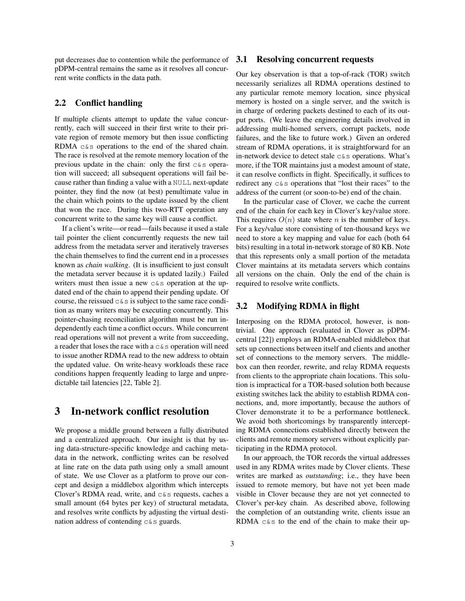put decreases due to contention while the performance of pDPM-central remains the same as it resolves all concurrent write conflicts in the data path.

#### 2.2 Conflict handling

If multiple clients attempt to update the value concurrently, each will succeed in their first write to their private region of remote memory but then issue conflicting RDMA c&s operations to the end of the shared chain. The race is resolved at the remote memory location of the previous update in the chain: only the first c&s operation will succeed; all subsequent operations will fail because rather than finding a value with a NULL next-update pointer, they find the now (at best) penultimate value in the chain which points to the update issued by the client that won the race. During this two-RTT operation any concurrent write to the same key will cause a conflict.

If a client's write—or read—fails because it used a stale tail pointer the client concurrently requests the new tail address from the metadata server and iteratively traverses the chain themselves to find the current end in a processes known as *chain walking*. (It is insufficient to just consult the metadata server because it is updated lazily.) Failed writers must then issue a new  $c$ &s operation at the updated end of the chain to append their pending update. Of course, the reissued  $c \& s$  is subject to the same race condition as many writers may be executing concurrently. This pointer-chasing reconciliation algorithm must be run independently each time a conflict occurs. While concurrent read operations will not prevent a write from succeeding, a reader that loses the race with a  $c \& s$  operation will need to issue another RDMA read to the new address to obtain the updated value. On write-heavy workloads these race conditions happen frequently leading to large and unpredictable tail latencies [22, Table 2].

## 3 In-network conflict resolution

We propose a middle ground between a fully distributed and a centralized approach. Our insight is that by using data-structure-specific knowledge and caching metadata in the network, conflicting writes can be resolved at line rate on the data path using only a small amount of state. We use Clover as a platform to prove our concept and design a middlebox algorithm which intercepts Clover's RDMA read, write, and  $c \& s$  requests, caches a small amount (64 bytes per key) of structural metadata, and resolves write conflicts by adjusting the virtual destination address of contending  $c < s$  guards.

#### 3.1 Resolving concurrent requests

Our key observation is that a top-of-rack (TOR) switch necessarily serializes all RDMA operations destined to any particular remote memory location, since physical memory is hosted on a single server, and the switch is in charge of ordering packets destined to each of its output ports. (We leave the engineering details involved in addressing multi-homed servers, corrupt packets, node failures, and the like to future work.) Given an ordered stream of RDMA operations, it is straightforward for an in-network device to detect stale  $c \& s$  operations. What's more, if the TOR maintains just a modest amount of state, it can resolve conflicts in flight. Specifically, it suffices to redirect any c&s operations that "lost their races" to the address of the current (or soon-to-be) end of the chain.

In the particular case of Clover, we cache the current end of the chain for each key in Clover's key/value store. This requires  $O(n)$  state where n is the number of keys. For a key/value store consisting of ten-thousand keys we need to store a key mapping and value for each (both 64 bits) resulting in a total in-network storage of 80 KB. Note that this represents only a small portion of the metadata Clover maintains at its metadata servers which contains all versions on the chain. Only the end of the chain is required to resolve write conflicts.

#### 3.2 Modifying RDMA in flight

Interposing on the RDMA protocol, however, is nontrivial. One approach (evaluated in Clover as pDPMcentral [22]) employs an RDMA-enabled middlebox that sets up connections between itself and clients and another set of connections to the memory servers. The middlebox can then reorder, rewrite, and relay RDMA requests from clients to the appropriate chain locations. This solution is impractical for a TOR-based solution both because existing switches lack the ability to establish RDMA connections, and, more importantly, because the authors of Clover demonstrate it to be a performance bottleneck. We avoid both shortcomings by transparently intercepting RDMA connections established directly between the clients and remote memory servers without explicitly participating in the RDMA protocol.

In our approach, the TOR records the virtual addresses used in any RDMA writes made by Clover clients. These writes are marked as *outstanding*; i.e., they have been issued to remote memory, but have not yet been made visible in Clover because they are not yet connected to Clover's per-key chain. As described above, following the completion of an outstanding write, clients issue an RDMA c&s to the end of the chain to make their up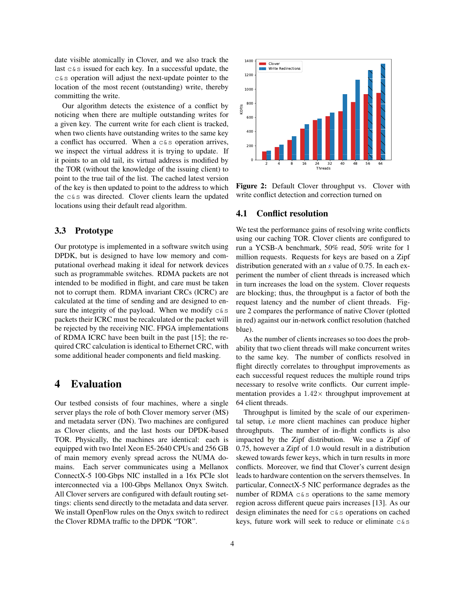date visible atomically in Clover, and we also track the last c&s issued for each key. In a successful update, the c&s operation will adjust the next-update pointer to the location of the most recent (outstanding) write, thereby committing the write.

Our algorithm detects the existence of a conflict by noticing when there are multiple outstanding writes for a given key. The current write for each client is tracked, when two clients have outstanding writes to the same key a conflict has occurred. When a  $c < s$  operation arrives, we inspect the virtual address it is trying to update. If it points to an old tail, its virtual address is modified by the TOR (without the knowledge of the issuing client) to point to the true tail of the list. The cached latest version of the key is then updated to point to the address to which the c&s was directed. Clover clients learn the updated locations using their default read algorithm.

#### 3.3 Prototype

Our prototype is implemented in a software switch using DPDK, but is designed to have low memory and computational overhead making it ideal for network devices such as programmable switches. RDMA packets are not intended to be modified in flight, and care must be taken not to corrupt them. RDMA invariant CRCs (ICRC) are calculated at the time of sending and are designed to ensure the integrity of the payload. When we modify  $c\&s$ packets their ICRC must be recalculated or the packet will be rejected by the receiving NIC. FPGA implementations of RDMA ICRC have been built in the past [15]; the required CRC calculation is identical to Ethernet CRC, with some additional header components and field masking.

### 4 Evaluation

Our testbed consists of four machines, where a single server plays the role of both Clover memory server (MS) and metadata server (DN). Two machines are configured as Clover clients, and the last hosts our DPDK-based TOR. Physically, the machines are identical: each is equipped with two Intel Xeon E5-2640 CPUs and 256 GB of main memory evenly spread across the NUMA domains. Each server communicates using a Mellanox ConnectX-5 100-Gbps NIC installed in a 16x PCIe slot interconnected via a 100-Gbps Mellanox Onyx Switch. All Clover servers are configured with default routing settings: clients send directly to the metadata and data server. We install OpenFlow rules on the Onyx switch to redirect the Clover RDMA traffic to the DPDK "TOR".



Figure 2: Default Clover throughput vs. Clover with write conflict detection and correction turned on

#### 4.1 Conflict resolution

We test the performance gains of resolving write conflicts using our caching TOR. Clover clients are configured to run a YCSB-A benchmark, 50% read, 50% write for 1 million requests. Requests for keys are based on a Zipf distribution generated with an *s* value of 0.75. In each experiment the number of client threads is increased which in turn increases the load on the system. Clover requests are blocking; thus, the throughput is a factor of both the request latency and the number of client threads. Figure 2 compares the performance of native Clover (plotted in red) against our in-network conflict resolution (hatched blue).

As the number of clients increases so too does the probability that two client threads will make concurrent writes to the same key. The number of conflicts resolved in flight directly correlates to throughput improvements as each successful request reduces the multiple round trips necessary to resolve write conflicts. Our current implementation provides a  $1.42\times$  throughput improvement at 64 client threads.

Throughput is limited by the scale of our experimental setup, i.e more client machines can produce higher throughputs. The number of in-flight conflicts is also impacted by the Zipf distribution. We use a Zipf of 0.75, however a Zipf of 1.0 would result in a distribution skewed towards fewer keys, which in turn results in more conflicts. Moreover, we find that Clover's current design leads to hardware contention on the servers themselves. In particular, ConnectX-5 NIC performance degrades as the number of RDMA  $c & s$  operations to the same memory region across different queue pairs increases [13]. As our design eliminates the need for c&s operations on cached keys, future work will seek to reduce or eliminate c&s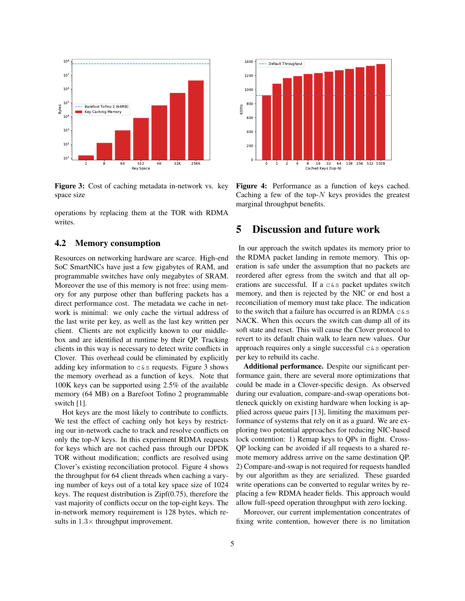

Figure 3: Cost of caching metadata in-network vs. key space size

operations by replacing them at the TOR with RDMA writes.

#### 4.2 Memory consumption

Resources on networking hardware are scarce. High-end SoC SmartNICs have just a few gigabytes of RAM, and programmable switches have only megabytes of SRAM. Moreover the use of this memory is not free: using memory for any purpose other than buffering packets has a direct performance cost. The metadata we cache in network is minimal: we only cache the virtual address of the last write per key, as well as the last key written per client. Clients are not explicitly known to our middlebox and are identified at runtime by their QP. Tracking clients in this way is necessary to detect write conflicts in Clover. This overhead could be eliminated by explicitly adding key information to  $c \& s$  requests. Figure 3 shows the memory overhead as a function of keys. Note that 100K keys can be supported using 2.5% of the available memory (64 MB) on a Barefoot Tofino 2 programmable switch [1].

Hot keys are the most likely to contribute to conflicts. We test the effect of caching only hot keys by restricting our in-network cache to track and resolve conflicts on only the top-*N* keys. In this experiment RDMA requests for keys which are not cached pass through our DPDK TOR without modification; conflicts are resolved using Clover's existing reconciliation protocol. Figure 4 shows the throughput for 64 client threads when caching a varying number of keys out of a total key space size of 1024 keys. The request distribution is  $\text{Zipf}(0.75)$ , therefore the vast majority of conflicts occur on the top-eight keys. The in-network memory requirement is 128 bytes, which results in  $1.3\times$  throughput improvement.



Figure 4: Performance as a function of keys cached. Caching a few of the top- $N$  keys provides the greatest marginal throughput benefits.

### 5 Discussion and future work

In our approach the switch updates its memory prior to the RDMA packet landing in remote memory. This operation is safe under the assumption that no packets are reordered after egress from the switch and that all operations are successful. If a  $c < s$  packet updates switch memory, and then is rejected by the NIC or end host a reconciliation of memory must take place. The indication to the switch that a failure has occurred is an RDMA  $c &$ s NACK. When this occurs the switch can dump all of its soft state and reset. This will cause the Clover protocol to revert to its default chain walk to learn new values. Our approach requires only a single successful  $\cos$  operation per key to rebuild its cache.

Additional performance. Despite our significant performance gain, there are several more optimizations that could be made in a Clover-specific design. As observed during our evaluation, compare-and-swap operations bottleneck quickly on existing hardware when locking is applied across queue pairs [13], limiting the maximum performance of systems that rely on it as a guard. We are exploring two potential approaches for reducing NIC-based lock contention: 1) Remap keys to QPs in flight. Cross-QP locking can be avoided if all requests to a shared remote memory address arrive on the same destination QP. 2) Compare-and-swap is not required for requests handled by our algorithm as they are serialized. These guarded write operations can be converted to regular writes by replacing a few RDMA header fields. This approach would allow full-speed operation throughput with zero locking.

Moreover, our current implementation concentrates of fixing write contention, however there is no limitation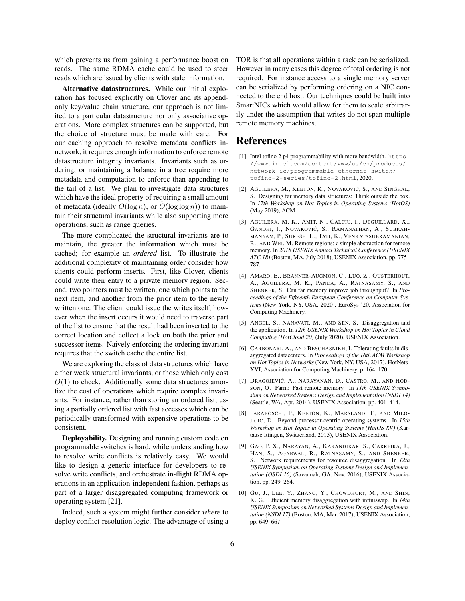which prevents us from gaining a performance boost on reads. The same RDMA cache could be used to steer reads which are issued by clients with stale information.

Alternative datastructures. While our initial exploration has focused explicitly on Clover and its appendonly key/value chain structure, our approach is not limited to a particular datastructure nor only associative operations. More complex structures can be supported, but the choice of structure must be made with care. For our caching approach to resolve metadata conflicts innetwork, it requires enough information to enforce remote datastructure integrity invariants. Invariants such as ordering, or maintaining a balance in a tree require more metadata and computation to enforce than appending to the tail of a list. We plan to investigate data structures which have the ideal property of requiring a small amount of metadata (ideally  $O(\log n)$ , or  $O(\log \log n)$ ) to maintain their structural invariants while also supporting more operations, such as range queries.

The more complicated the structural invariants are to maintain, the greater the information which must be cached; for example an *ordered* list. To illustrate the additional complexity of maintaining order consider how clients could perform inserts. First, like Clover, clients could write their entry to a private memory region. Second, two pointers must be written, one which points to the next item, and another from the prior item to the newly written one. The client could issue the writes itself, however when the insert occurs it would need to traverse part of the list to ensure that the result had been inserted to the correct location and collect a lock on both the prior and successor items. Naively enforcing the ordering invariant requires that the switch cache the entire list.

We are exploring the class of data structures which have either weak structural invariants, or those which only cost  $O(1)$  to check. Additionally some data structures amortize the cost of operations which require complex invariants. For instance, rather than storing an ordered list, using a partially ordered list with fast accesses which can be periodically transformed with expensive operations to be consistent.

Deployability. Designing and running custom code on programmable switches is hard, while understanding how to resolve write conflicts is relatively easy. We would like to design a generic interface for developers to resolve write conflicts, and orchestrate in-flight RDMA operations in an application-independent fashion, perhaps as part of a larger disaggregated computing framework or operating system [21].

Indeed, such a system might further consider *where* to deploy conflict-resolution logic. The advantage of using a TOR is that all operations within a rack can be serialized. However in many cases this degree of total ordering is not required. For instance access to a single memory server can be serialized by performing ordering on a NIC connected to the end host. Our techniques could be built into SmartNICs which would allow for them to scale arbitrarily under the assumption that writes do not span multiple remote memory machines.

## References

- [1] Intel tofino 2 p4 programmability with more bandwidth. https: //www.intel.com/content/www/us/en/products/ network-io/programmable-ethernet-switch/ tofino-2-series/tofino-2.html, 2020.
- [2] AGUILERA, M., KEETON, K., NOVAKOVIC, S., AND SINGHAL, S. Designing far memory data structures: Think outside the box. In *17th Workshop on Hot Topics in Operating Systems (HotOS)* (May 2019), ACM.
- [3] AGUILERA, M. K., AMIT, N., CALCIU, I., DEGUILLARD, X., GANDHI, J., NOVAKOVIĆ, S., RAMANATHAN, A., SUBRAH-MANYAM, P., SURESH, L., TATI, K., VENKATASUBRAMANIAN, R., AND WEI, M. Remote regions: a simple abstraction for remote memory. In *2018 USENIX Annual Technical Conference (USENIX ATC 18)* (Boston, MA, July 2018), USENIX Association, pp. 775– 787.
- [4] AMARO, E., BRANNER-AUGMON, C., LUO, Z., OUSTERHOUT, A., AGUILERA, M. K., PANDA, A., RATNASAMY, S., AND SHENKER, S. Can far memory improve job throughput? In *Proceedings of the Fifteenth European Conference on Computer Systems* (New York, NY, USA, 2020), EuroSys '20, Association for Computing Machinery.
- [5] ANGEL, S., NANAVATI, M., AND SEN, S. Disaggregation and the application. In *12th USENIX Workshop on Hot Topics in Cloud Computing (HotCloud 20)* (July 2020), USENIX Association.
- [6] CARBONARI, A., AND BESCHASNIKH, I. Tolerating faults in disaggregated datacenters. In *Proceedings of the 16th ACM Workshop on Hot Topics in Networks* (New York, NY, USA, 2017), HotNets-XVI, Association for Computing Machinery, p. 164–170.
- [7] DRAGOJEVIĆ, A., NARAYANAN, D., CASTRO, M., AND HOD-SON, O. Farm: Fast remote memory. In *11th USENIX Symposium on Networked Systems Design and Implementation (NSDI 14)* (Seattle, WA, Apr. 2014), USENIX Association, pp. 401–414.
- [8] FARABOSCHI, P., KEETON, K., MARSLAND, T., AND MILO-JICIC, D. Beyond processor-centric operating systems. In *15th Workshop on Hot Topics in Operating Systems (HotOS XV)* (Kartause Ittingen, Switzerland, 2015), USENIX Association.
- [9] GAO, P. X., NARAYAN, A., KARANDIKAR, S., CARREIRA, J., HAN, S., AGARWAL, R., RATNASAMY, S., AND SHENKER, S. Network requirements for resource disaggregation. In *12th USENIX Symposium on Operating Systems Design and Implementation (OSDI 16)* (Savannah, GA, Nov. 2016), USENIX Association, pp. 249–264.
- [10] GU, J., LEE, Y., ZHANG, Y., CHOWDHURY, M., AND SHIN, K. G. Efficient memory disaggregation with infiniswap. In *14th USENIX Symposium on Networked Systems Design and Implementation (NSDI 17)* (Boston, MA, Mar. 2017), USENIX Association, pp. 649–667.